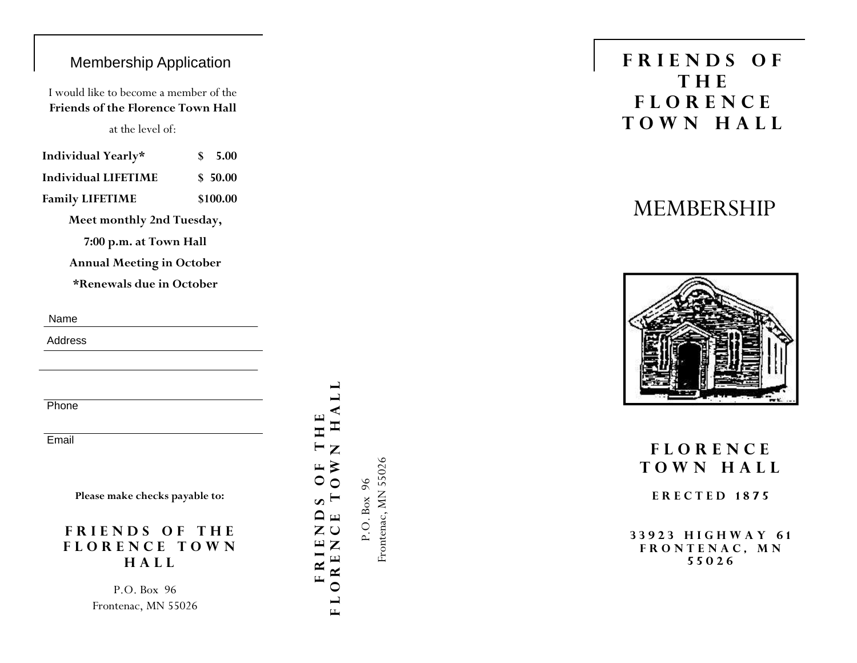### Membership Application

I would like to become a member of the **Friends of the Florence Town Hall** 

at the level of:

| Individual Yearly*     | \$5.00   |
|------------------------|----------|
| Individual LIFETIME    | \$ 50.00 |
| <b>Family LIFETIME</b> | \$100.00 |

**Meet monthly 2nd Tuesday,** 

**7:00 p.m. at Town Hall** 

**Annual Meeting in October** 

**\*Renewals due in October** 

Name

Address

**Phone** 

**Email** 

**Please make checks payable to:** 

### **FRIENDS OF THE FLORENCE TOWN HALL**

P.O. Box 96 Frontenac, MN 55026

## **FLORENCE TOWN HALL FRIENDS OF THE**  Ξ  $\mathbb{N}$  O  $\mathbf{L}$  $\cup$ Z  $\mathbf{E}$ OREN  $\overline{\mathbf{R}}$   $\overline{\mathbf{I}}$ L  $\Box$

Frontenac, MN 55026 Frontenac, MN 55026 P.O. Box 96 P.O. Box 96

# **FRIENDS OF THE FLORENCE TOWN HALL**

# MEMBERSHIP



# **FLORENCE TOWN HALL**

**ERECTED 1875** 

**33923 HIGHWAY 61 FRONTENAC, MN 55026**